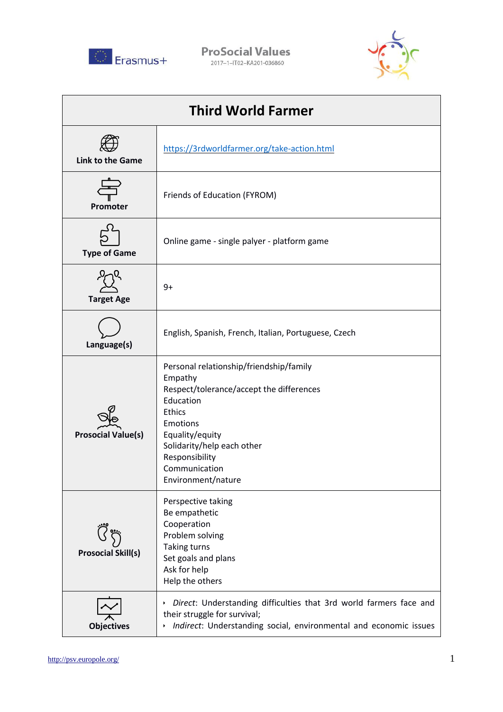

**ProSocial Values** 2017-1-IT02-KA201-036860



| <b>Third World Farmer</b> |                                                                                                                                                                                                                                                    |  |
|---------------------------|----------------------------------------------------------------------------------------------------------------------------------------------------------------------------------------------------------------------------------------------------|--|
| <b>Link to the Game</b>   | https://3rdworldfarmer.org/take-action.html                                                                                                                                                                                                        |  |
| Promoter                  | Friends of Education (FYROM)                                                                                                                                                                                                                       |  |
| <b>Type of Game</b>       | Online game - single palyer - platform game                                                                                                                                                                                                        |  |
| <b>Target Age</b>         | $9+$                                                                                                                                                                                                                                               |  |
| Language(s)               | English, Spanish, French, Italian, Portuguese, Czech                                                                                                                                                                                               |  |
| <b>Prosocial Value(s)</b> | Personal relationship/friendship/family<br>Empathy<br>Respect/tolerance/accept the differences<br>Education<br><b>Ethics</b><br>Emotions<br>Equality/equity<br>Solidarity/help each other<br>Responsibility<br>Communication<br>Environment/nature |  |
| <b>Prosocial Skill(s)</b> | Perspective taking<br>Be empathetic<br>Cooperation<br>Problem solving<br>Taking turns<br>Set goals and plans<br>Ask for help<br>Help the others                                                                                                    |  |
| <b>Objectives</b>         | Direct: Understanding difficulties that 3rd world farmers face and<br>$\blacktriangleright$<br>their struggle for survival;<br>Indirect: Understanding social, environmental and economic issues                                                   |  |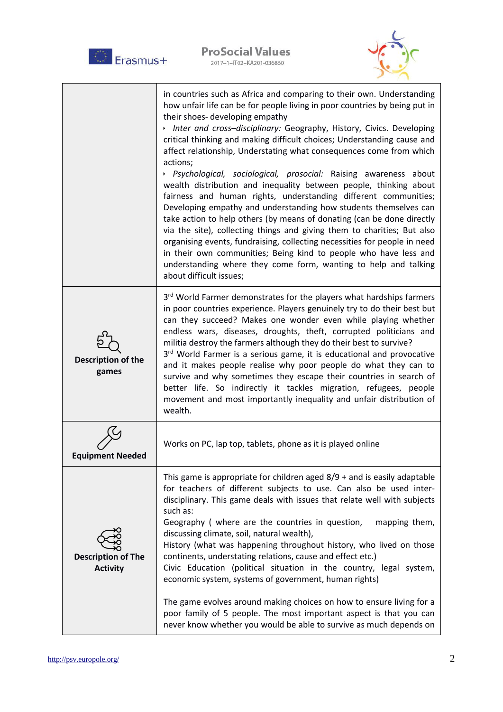| Erasmus+                                     | <b>ProSocial Values</b><br>2017-1-IT02-KA201-036860                                                                                                                                                                                                                                                                                                                                                                                                                                                                                                                                                                                                                                                                                                                                                                                                                                                                                                                                                                                                                                                               |
|----------------------------------------------|-------------------------------------------------------------------------------------------------------------------------------------------------------------------------------------------------------------------------------------------------------------------------------------------------------------------------------------------------------------------------------------------------------------------------------------------------------------------------------------------------------------------------------------------------------------------------------------------------------------------------------------------------------------------------------------------------------------------------------------------------------------------------------------------------------------------------------------------------------------------------------------------------------------------------------------------------------------------------------------------------------------------------------------------------------------------------------------------------------------------|
|                                              | in countries such as Africa and comparing to their own. Understanding<br>how unfair life can be for people living in poor countries by being put in<br>their shoes- developing empathy<br>Inter and cross-disciplinary: Geography, History, Civics. Developing<br>critical thinking and making difficult choices; Understanding cause and<br>affect relationship, Understating what consequences come from which<br>actions;<br>> Psychological, sociological, prosocial: Raising awareness about<br>wealth distribution and inequality between people, thinking about<br>fairness and human rights, understanding different communities;<br>Developing empathy and understanding how students themselves can<br>take action to help others (by means of donating (can be done directly<br>via the site), collecting things and giving them to charities; But also<br>organising events, fundraising, collecting necessities for people in need<br>in their own communities; Being kind to people who have less and<br>understanding where they come form, wanting to help and talking<br>about difficult issues; |
| Description of the<br>games                  | 3rd World Farmer demonstrates for the players what hardships farmers<br>in poor countries experience. Players genuinely try to do their best but<br>can they succeed? Makes one wonder even while playing whether<br>endless wars, diseases, droughts, theft, corrupted politicians and<br>militia destroy the farmers although they do their best to survive?<br>3rd World Farmer is a serious game, it is educational and provocative<br>and it makes people realise why poor people do what they can to<br>survive and why sometimes they escape their countries in search of<br>better life. So indirectly it tackles migration, refugees, people<br>movement and most importantly inequality and unfair distribution of<br>wealth.                                                                                                                                                                                                                                                                                                                                                                           |
| <b>Equipment Needed</b>                      | Works on PC, lap top, tablets, phone as it is played online                                                                                                                                                                                                                                                                                                                                                                                                                                                                                                                                                                                                                                                                                                                                                                                                                                                                                                                                                                                                                                                       |
| <b>Description of The</b><br><b>Activity</b> | This game is appropriate for children aged $8/9$ + and is easily adaptable<br>for teachers of different subjects to use. Can also be used inter-<br>disciplinary. This game deals with issues that relate well with subjects<br>such as:<br>Geography ( where are the countries in question,<br>mapping them,<br>discussing climate, soil, natural wealth),<br>History (what was happening throughout history, who lived on those<br>continents, understating relations, cause and effect etc.)<br>Civic Education (political situation in the country, legal system,<br>economic system, systems of government, human rights)<br>The game evolves around making choices on how to ensure living for a<br>poor family of 5 people. The most important aspect is that you can<br>never know whether you would be able to survive as much depends on                                                                                                                                                                                                                                                                |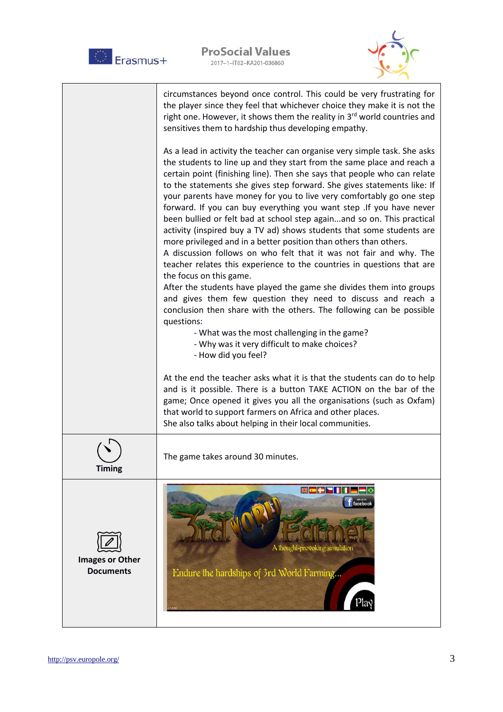



|                                            | circumstances beyond once control. This could be very frustrating for<br>the player since they feel that whichever choice they make it is not the<br>right one. However, it shows them the reality in 3 <sup>rd</sup> world countries and<br>sensitives them to hardship thus developing empathy.                                                                                                                                                                                                                                                                                                                                                                                                                                                                                                                                                                                                                                                                                                                                                                                                                                                                                                                  |
|--------------------------------------------|--------------------------------------------------------------------------------------------------------------------------------------------------------------------------------------------------------------------------------------------------------------------------------------------------------------------------------------------------------------------------------------------------------------------------------------------------------------------------------------------------------------------------------------------------------------------------------------------------------------------------------------------------------------------------------------------------------------------------------------------------------------------------------------------------------------------------------------------------------------------------------------------------------------------------------------------------------------------------------------------------------------------------------------------------------------------------------------------------------------------------------------------------------------------------------------------------------------------|
|                                            | As a lead in activity the teacher can organise very simple task. She asks<br>the students to line up and they start from the same place and reach a<br>certain point (finishing line). Then she says that people who can relate<br>to the statements she gives step forward. She gives statements like: If<br>your parents have money for you to live very comfortably go one step<br>forward. If you can buy everything you want step . If you have never<br>been bullied or felt bad at school step againand so on. This practical<br>activity (inspired buy a TV ad) shows students that some students are<br>more privileged and in a better position than others than others.<br>A discussion follows on who felt that it was not fair and why. The<br>teacher relates this experience to the countries in questions that are<br>the focus on this game.<br>After the students have played the game she divides them into groups<br>and gives them few question they need to discuss and reach a<br>conclusion then share with the others. The following can be possible<br>questions:<br>- What was the most challenging in the game?<br>- Why was it very difficult to make choices?<br>- How did you feel? |
|                                            | At the end the teacher asks what it is that the students can do to help<br>and is it possible. There is a button TAKE ACTION on the bar of the<br>game; Once opened it gives you all the organisations (such as Oxfam)<br>that world to support farmers on Africa and other places.<br>She also talks about helping in their local communities.                                                                                                                                                                                                                                                                                                                                                                                                                                                                                                                                                                                                                                                                                                                                                                                                                                                                    |
| <b>Timing</b>                              | The game takes around 30 minutes.                                                                                                                                                                                                                                                                                                                                                                                                                                                                                                                                                                                                                                                                                                                                                                                                                                                                                                                                                                                                                                                                                                                                                                                  |
| <b>Images or Other</b><br><b>Documents</b> | <b>XELLENII - 0</b><br>$f$ facebook<br>A thought-provoking simulation<br>Endure the hardships of 3rd World Farming                                                                                                                                                                                                                                                                                                                                                                                                                                                                                                                                                                                                                                                                                                                                                                                                                                                                                                                                                                                                                                                                                                 |